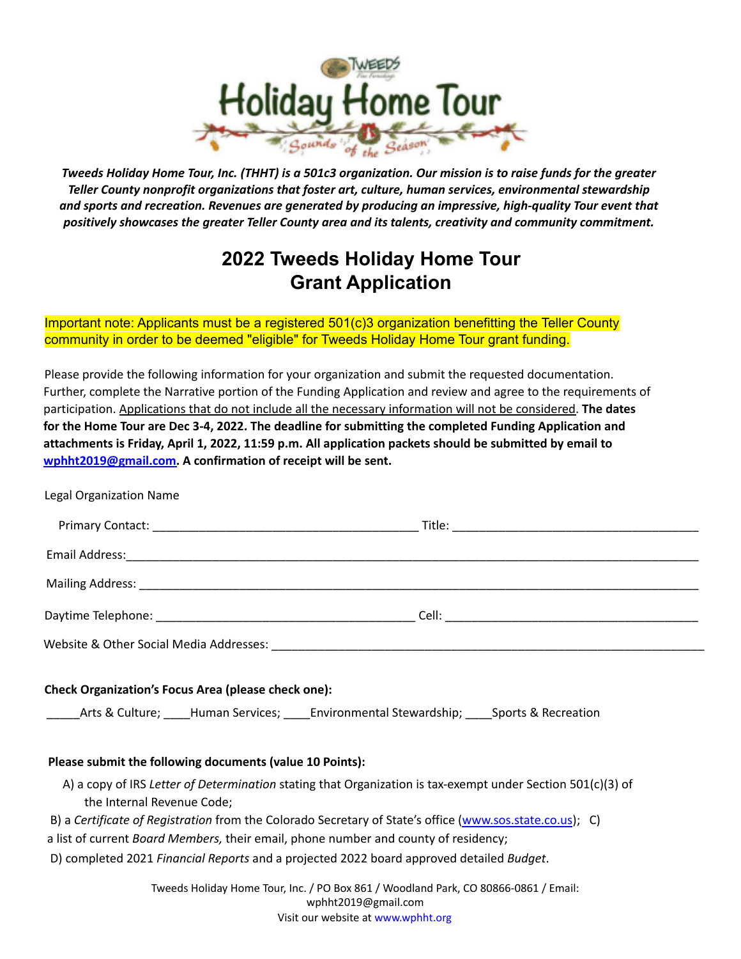

Tweeds Holiday Home Tour, Inc. (THHT) is a 501c3 organization. Our mission is to raise funds for the greater *Teller County nonprofit organizations that foster art, culture, human services, environmental stewardship and sports and recreation. Revenues are generated by producing an impressive, high‐quality Tour event that positively showcases the greater Teller County area and its talents, creativity and community commitment.*

## **2022 Tweeds Holiday Home Tour Grant Application**

Important note: Applicants must be a registered 501(c)3 organization benefitting the Teller County community in order to be deemed "eligible" for Tweeds Holiday Home Tour grant funding.

Please provide the following information for your organization and submit the requested documentation. Further, complete the Narrative portion of the Funding Application and review and agree to the requirements of participation. Applications that do not include all the necessary information will not be considered. **The dates for the Home Tour are Dec 3-4, 2022. The deadline for submitting the completed Funding Application and attachments is Friday, April 1, 2022, 11:59 p.m. All application packets should be submitted by email to wphht2019@gmail.com. A confirmation of receipt will be sent.**

Legal Organization Name

| <b>Check Organization's Focus Area (please check one):</b><br>_____Arts & Culture; ____Human Services; ____Environmental Stewardship; ____Sports & Recreation |                                                                                                                                                                                                                         |  |  |
|---------------------------------------------------------------------------------------------------------------------------------------------------------------|-------------------------------------------------------------------------------------------------------------------------------------------------------------------------------------------------------------------------|--|--|
| Please submit the following documents (value 10 Points):                                                                                                      |                                                                                                                                                                                                                         |  |  |
| the Internal Revenue Code;                                                                                                                                    | A) a copy of IRS Letter of Determination stating that Organization is tax-exempt under Section 501(c)(3) of<br>B) a Certificate of Registration from the Colorado Secretary of State's office (www.sos.state.co.us); C) |  |  |
|                                                                                                                                                               | a list of current <i>Board Members</i> , their email, phone number and county of residency;                                                                                                                             |  |  |
|                                                                                                                                                               | D) completed 2021 Financial Reports and a projected 2022 board approved detailed Budget.                                                                                                                                |  |  |
|                                                                                                                                                               | Tweeds Holiday Home Tour, Inc. / PO Box 861 / Woodland Park, CO 80866-0861 / Email:<br>wphht2019@gmail.com                                                                                                              |  |  |

Visit our website at www.wphht.org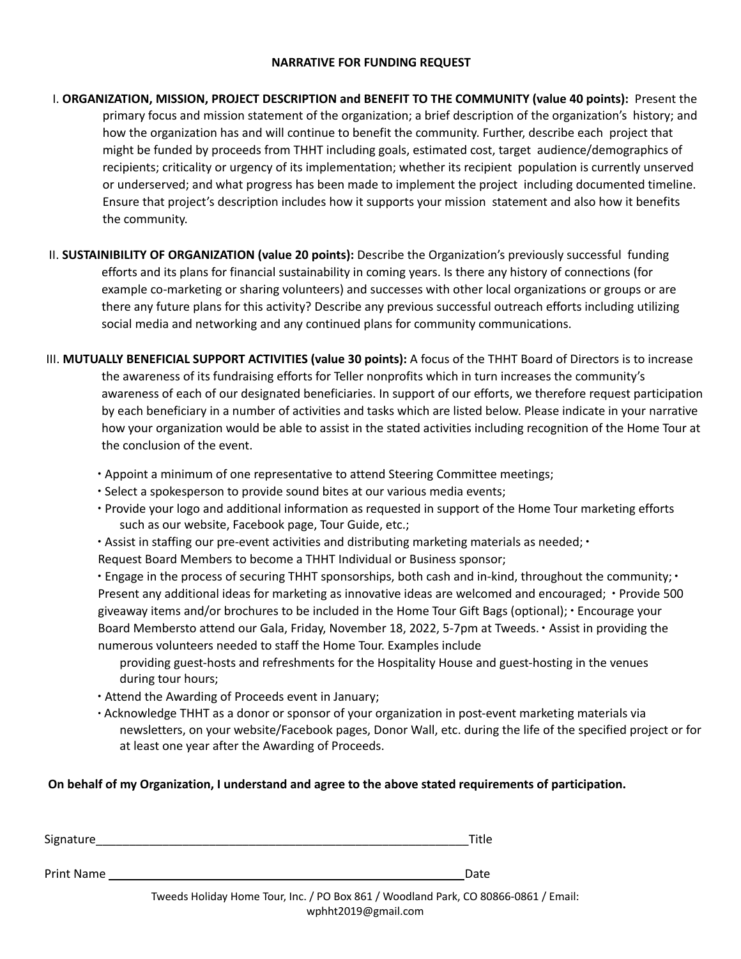## **NARRATIVE FOR FUNDING REQUEST**

- I. **ORGANIZATION, MISSION, PROJECT DESCRIPTION and BENEFIT TO THE COMMUNITY (value 40 points):** Present the primary focus and mission statement of the organization; a brief description of the organization's history; and how the organization has and will continue to benefit the community. Further, describe each project that might be funded by proceeds from THHT including goals, estimated cost, target audience/demographics of recipients; criticality or urgency of its implementation; whether its recipient population is currently unserved or underserved; and what progress has been made to implement the project including documented timeline. Ensure that project's description includes how it supports your mission statement and also how it benefits the community.
- II. **SUSTAINIBILITY OF ORGANIZATION (value 20 points):** Describe the Organization's previously successful funding efforts and its plans for financial sustainability in coming years. Is there any history of connections (for example co-marketing or sharing volunteers) and successes with other local organizations or groups or are there any future plans for this activity? Describe any previous successful outreach efforts including utilizing social media and networking and any continued plans for community communications.
- III. **MUTUALLY BENEFICIAL SUPPORT ACTIVITIES (value 30 points):** A focus of the THHT Board of Directors is to increase the awareness of its fundraising efforts for Teller nonprofits which in turn increases the community's awareness of each of our designated beneficiaries. In support of our efforts, we therefore request participation by each beneficiary in a number of activities and tasks which are listed below. Please indicate in your narrative how your organization would be able to assist in the stated activities including recognition of the Home Tour at the conclusion of the event.
	- ∙ Appoint a minimum of one representative to attend Steering Committee meetings;
	- ∙ Select a spokesperson to provide sound bites at our various media events;
	- ∙ Provide your logo and additional information as requested in support of the Home Tour marketing efforts such as our website, Facebook page, Tour Guide, etc.;
	- ∙ Assist in staffing our pre‐event activities and distributing marketing materials as needed; ∙
	- Request Board Members to become a THHT Individual or Business sponsor;

∙ Engage in the process of securing THHT sponsorships, both cash and in‐kind, throughout the community; ∙ Present any additional ideas for marketing as innovative ideas are welcomed and encouraged; ∙ Provide 500 giveaway items and/or brochures to be included in the Home Tour Gift Bags (optional); ∙ Encourage your Board Membersto attend our Gala, Friday, November 18, 2022, 5‐7pm at Tweeds. ∙ Assist in providing the numerous volunteers needed to staff the Home Tour. Examples include

- providing guest‐hosts and refreshments for the Hospitality House and guest‐hosting in the venues during tour hours;
- ∙ Attend the Awarding of Proceeds event in January;
- ∙ Acknowledge THHT as a donor or sponsor of your organization in post‐event marketing materials via newsletters, on your website/Facebook pages, Donor Wall, etc. during the life of the specified project or for at least one year after the Awarding of Proceeds.

**On behalf of my Organization, I understand and agree to the above stated requirements of participation.**

| Signature  | Title |
|------------|-------|
| Print Name | Date  |

Tweeds Holiday Home Tour, Inc. / PO Box 861 / Woodland Park, CO 80866‐0861 / Email: wphht2019@gmail.com